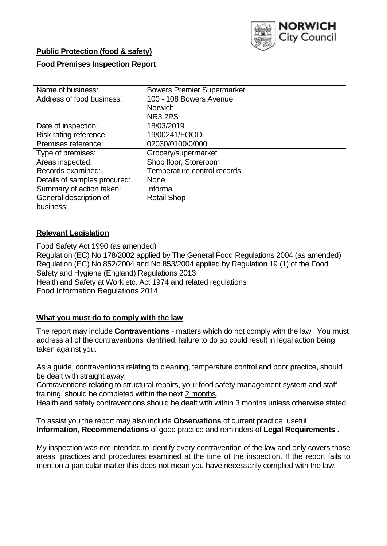

# **Public Protection (food & safety)**

## **Food Premises Inspection Report**

| Name of business:            | <b>Bowers Premier Supermarket</b> |
|------------------------------|-----------------------------------|
|                              |                                   |
| Address of food business:    | 100 - 108 Bowers Avenue           |
|                              | <b>Norwich</b>                    |
|                              | <b>NR3 2PS</b>                    |
| Date of inspection:          | 18/03/2019                        |
| Risk rating reference:       | 19/00241/FOOD                     |
| Premises reference:          | 02030/0100/0/000                  |
| Type of premises:            | Grocery/supermarket               |
| Areas inspected:             | Shop floor, Storeroom             |
| Records examined:            | Temperature control records       |
| Details of samples procured: | <b>None</b>                       |
| Summary of action taken:     | Informal                          |
| General description of       | <b>Retail Shop</b>                |
| business:                    |                                   |

## **Relevant Legislation**

Food Safety Act 1990 (as amended) Regulation (EC) No 178/2002 applied by The General Food Regulations 2004 (as amended) Regulation (EC) No 852/2004 and No 853/2004 applied by Regulation 19 (1) of the Food Safety and Hygiene (England) Regulations 2013 Health and Safety at Work etc. Act 1974 and related regulations Food Information Regulations 2014

## **What you must do to comply with the law**

The report may include **Contraventions** - matters which do not comply with the law . You must address all of the contraventions identified; failure to do so could result in legal action being taken against you.

As a guide, contraventions relating to cleaning, temperature control and poor practice, should be dealt with straight away.

Contraventions relating to structural repairs, your food safety management system and staff training, should be completed within the next 2 months.

Health and safety contraventions should be dealt with within 3 months unless otherwise stated.

To assist you the report may also include **Observations** of current practice, useful **Information**, **Recommendations** of good practice and reminders of **Legal Requirements .**

My inspection was not intended to identify every contravention of the law and only covers those areas, practices and procedures examined at the time of the inspection. If the report fails to mention a particular matter this does not mean you have necessarily complied with the law.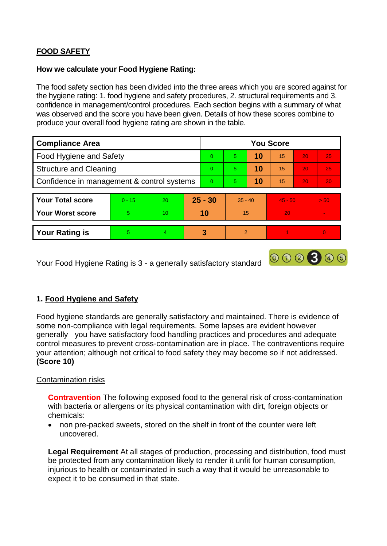# **FOOD SAFETY**

### **How we calculate your Food Hygiene Rating:**

The food safety section has been divided into the three areas which you are scored against for the hygiene rating: 1. food hygiene and safety procedures, 2. structural requirements and 3. confidence in management/control procedures. Each section begins with a summary of what was observed and the score you have been given. Details of how these scores combine to produce your overall food hygiene rating are shown in the table.

| <b>Compliance Area</b>                     |          |                |          | <b>You Score</b> |               |    |           |                 |          |  |  |
|--------------------------------------------|----------|----------------|----------|------------------|---------------|----|-----------|-----------------|----------|--|--|
| Food Hygiene and Safety                    |          |                |          | $\Omega$         | 5             | 10 | 15        | 20              | 25       |  |  |
| <b>Structure and Cleaning</b>              |          |                | $\Omega$ | 5                | 10            | 15 | 20        | 25              |          |  |  |
| Confidence in management & control systems |          |                | $\Omega$ | 5                | 10            | 15 | 20        | 30 <sub>1</sub> |          |  |  |
|                                            |          |                |          |                  |               |    |           |                 |          |  |  |
| <b>Your Total score</b>                    | $0 - 15$ | 20             |          | $25 - 30$        | $35 - 40$     |    | $45 - 50$ |                 | > 50     |  |  |
| <b>Your Worst score</b>                    | 5        | 10             |          | 10               | 15            |    | 20        |                 |          |  |  |
|                                            |          |                |          |                  |               |    |           |                 |          |  |  |
| <b>Your Rating is</b>                      | 5.       | $\overline{4}$ |          | 3                | $\mathcal{P}$ |    |           |                 | $\Omega$ |  |  |

Your Food Hygiene Rating is 3 - a generally satisfactory standard

# **1. Food Hygiene and Safety**

Food hygiene standards are generally satisfactory and maintained. There is evidence of some non-compliance with legal requirements. Some lapses are evident however generally you have satisfactory food handling practices and procedures and adequate control measures to prevent cross-contamination are in place. The contraventions require your attention; although not critical to food safety they may become so if not addressed. **(Score 10)**

000300

## Contamination risks

**Contravention** The following exposed food to the general risk of cross-contamination with bacteria or allergens or its physical contamination with dirt, foreign objects or chemicals:

 non pre-packed sweets, stored on the shelf in front of the counter were left uncovered.

**Legal Requirement** At all stages of production, processing and distribution, food must be protected from any contamination likely to render it unfit for human consumption, injurious to health or contaminated in such a way that it would be unreasonable to expect it to be consumed in that state.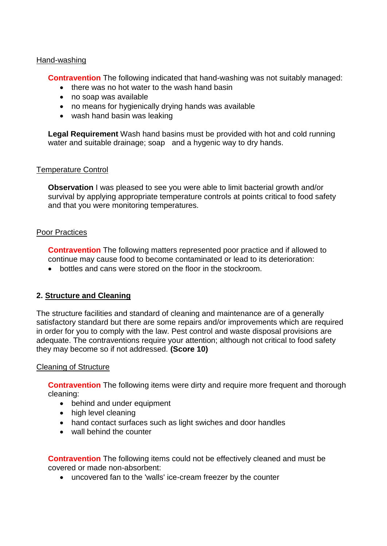#### Hand-washing

**Contravention** The following indicated that hand-washing was not suitably managed:

- there was no hot water to the wash hand basin
- no soap was available
- no means for hygienically drying hands was available
- wash hand basin was leaking

**Legal Requirement** Wash hand basins must be provided with hot and cold running water and suitable drainage; soap and a hygenic way to dry hands.

## Temperature Control

**Observation** I was pleased to see you were able to limit bacterial growth and/or survival by applying appropriate temperature controls at points critical to food safety and that you were monitoring temperatures.

#### Poor Practices

**Contravention** The following matters represented poor practice and if allowed to continue may cause food to become contaminated or lead to its deterioration:

bottles and cans were stored on the floor in the stockroom.

# **2. Structure and Cleaning**

The structure facilities and standard of cleaning and maintenance are of a generally satisfactory standard but there are some repairs and/or improvements which are required in order for you to comply with the law. Pest control and waste disposal provisions are adequate. The contraventions require your attention; although not critical to food safety they may become so if not addressed. **(Score 10)**

## Cleaning of Structure

**Contravention** The following items were dirty and require more frequent and thorough cleaning:

- behind and under equipment
- high level cleaning
- hand contact surfaces such as light swiches and door handles
- wall behind the counter

**Contravention** The following items could not be effectively cleaned and must be covered or made non-absorbent:

uncovered fan to the 'walls' ice-cream freezer by the counter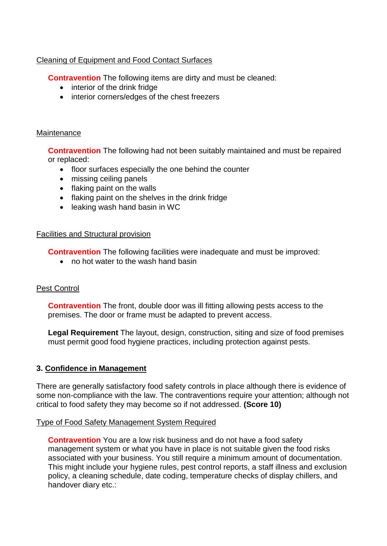## Cleaning of Equipment and Food Contact Surfaces

**Contravention** The following items are dirty and must be cleaned:

- interior of the drink fridge
- interior corners/edges of the chest freezers

## **Maintenance**

**Contravention** The following had not been suitably maintained and must be repaired or replaced:

- floor surfaces especially the one behind the counter
- missing ceiling panels
- flaking paint on the walls
- flaking paint on the shelves in the drink fridge
- leaking wash hand basin in WC

#### Facilities and Structural provision

**Contravention** The following facilities were inadequate and must be improved:

• no hot water to the wash hand basin

## Pest Control

**Contravention** The front, double door was ill fitting allowing pests access to the premises. The door or frame must be adapted to prevent access.

**Legal Requirement** The layout, design, construction, siting and size of food premises must permit good food hygiene practices, including protection against pests.

## **3. Confidence in Management**

There are generally satisfactory food safety controls in place although there is evidence of some non-compliance with the law. The contraventions require your attention; although not critical to food safety they may become so if not addressed. **(Score 10)**

## Type of Food Safety Management System Required

**Contravention** You are a low risk business and do not have a food safety management system or what you have in place is not suitable given the food risks associated with your business. You still require a minimum amount of documentation. This might include your hygiene rules, pest control reports, a staff illness and exclusion policy, a cleaning schedule, date coding, temperature checks of display chillers, and handover diary etc.: